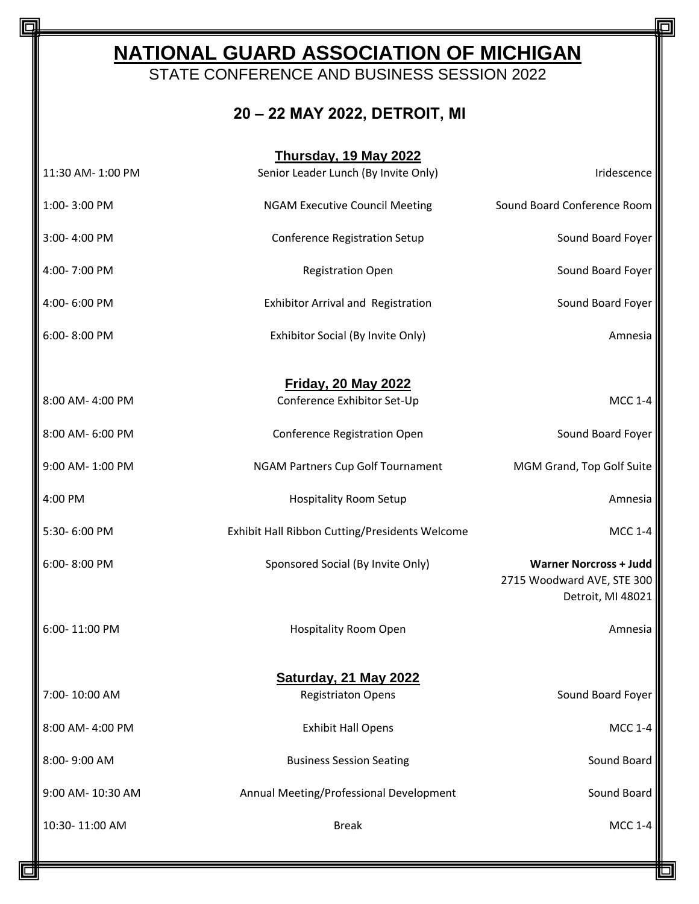## **NATIONAL GUARD ASSOCIATION OF MICHIGAN**

STATE CONFERENCE AND BUSINESS SESSION 2022

## **20 – 22 MAY 2022, DETROIT, MI**

| Thursday, 19 May 2022 |                                                           |                                                                                  |  |
|-----------------------|-----------------------------------------------------------|----------------------------------------------------------------------------------|--|
| 11:30 AM- 1:00 PM     | Senior Leader Lunch (By Invite Only)                      | Iridescence                                                                      |  |
| 1:00-3:00 PM          | <b>NGAM Executive Council Meeting</b>                     | Sound Board Conference Room                                                      |  |
| 3:00-4:00 PM          | <b>Conference Registration Setup</b>                      | Sound Board Foyer                                                                |  |
| 4:00-7:00 PM          | <b>Registration Open</b>                                  | Sound Board Foyer                                                                |  |
| 4:00-6:00 PM          | Exhibitor Arrival and Registration                        | Sound Board Foyer                                                                |  |
| 6:00-8:00 PM          | Exhibitor Social (By Invite Only)                         | Amnesia                                                                          |  |
| 8:00 AM- 4:00 PM      | <b>Friday, 20 May 2022</b><br>Conference Exhibitor Set-Up | <b>MCC 1-4</b>                                                                   |  |
|                       |                                                           |                                                                                  |  |
| 8:00 AM- 6:00 PM      | Conference Registration Open                              | Sound Board Foyer                                                                |  |
| 9:00 AM-1:00 PM       | NGAM Partners Cup Golf Tournament                         | MGM Grand, Top Golf Suite                                                        |  |
| 4:00 PM               | <b>Hospitality Room Setup</b>                             | Amnesia                                                                          |  |
| 5:30-6:00 PM          | Exhibit Hall Ribbon Cutting/Presidents Welcome            | <b>MCC 1-4</b>                                                                   |  |
| 6:00-8:00 PM          | Sponsored Social (By Invite Only)                         | <b>Warner Norcross + Judd</b><br>2715 Woodward AVE, STE 300<br>Detroit, MI 48021 |  |
| 6:00-11:00 PM         | <b>Hospitality Room Open</b>                              | Amnesia                                                                          |  |
|                       | <b>Saturday, 21 May 2022</b>                              |                                                                                  |  |
| 7:00-10:00 AM         | <b>Registriaton Opens</b>                                 | Sound Board Foyer                                                                |  |
| 8:00 AM- 4:00 PM      | <b>Exhibit Hall Opens</b>                                 | <b>MCC 1-4</b>                                                                   |  |
| 8:00-9:00 AM          | <b>Business Session Seating</b>                           | Sound Board                                                                      |  |
| 9:00 AM- 10:30 AM     | Annual Meeting/Professional Development                   | Sound Board                                                                      |  |
| 10:30-11:00 AM        | <b>Break</b>                                              | <b>MCC 1-4</b>                                                                   |  |

la

Ω